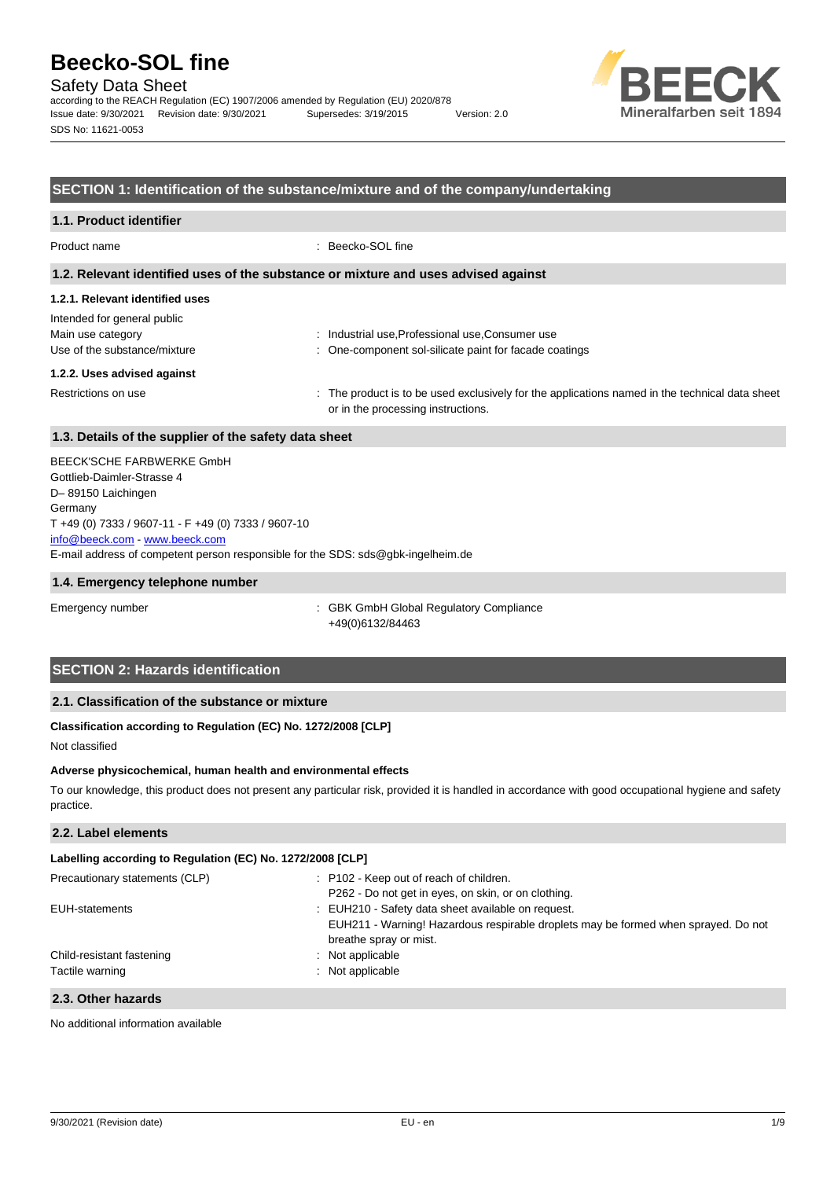Safety Data Sheet

according to the REACH Regulation (EC) 1907/2006 amended by Regulation (EU) 2020/878 Issue date: 9/30/2021 Revision date: 9/30/2021 Supersedes: 3/19/2015 Version: 2.0 SDS No: 11621-0053



# **SECTION 1: Identification of the substance/mixture and of the company/undertaking**

## **1.1. Product identifier**

Product name : Beecko-SOL fine

### **1.2. Relevant identified uses of the substance or mixture and uses advised against**

## **1.2.1. Relevant identified uses**

| Intended for general public  |                                                                                                                                      |
|------------------------------|--------------------------------------------------------------------------------------------------------------------------------------|
| Main use category            | : Industrial use, Professional use, Consumer use                                                                                     |
| Use of the substance/mixture | : One-component sol-silicate paint for facade coatings                                                                               |
| 1.2.2. Uses advised against  |                                                                                                                                      |
| Restrictions on use          | : The product is to be used exclusively for the applications named in the technical data sheet<br>or in the processing instructions. |

## **1.3. Details of the supplier of the safety data sheet**

E-mail address of competent person responsible for the SDS: sds@gbk-ingelheim.de BEECK'SCHE FARBWERKE GmbH Gottlieb-Daimler-Strasse 4 D– 89150 Laichingen Germany T +49 (0) 7333 / 9607-11 - F +49 (0) 7333 / 9607-10 [info@beeck.com](mailto:info@beeck.com) - [www.beeck.com](http://www.beeck.com/)

## **1.4. Emergency telephone number**

Emergency number **Emergency** number : GBK GmbH Global Regulatory Compliance +49(0)6132/84463

# **SECTION 2: Hazards identification**

# **2.1. Classification of the substance or mixture**

# **Classification according to Regulation (EC) No. 1272/2008 [CLP]**

Not classified

### **Adverse physicochemical, human health and environmental effects**

To our knowledge, this product does not present any particular risk, provided it is handled in accordance with good occupational hygiene and safety practice.

# **2.2. Label elements**

# **Labelling according to Regulation (EC) No. 1272/2008 [CLP]**

| Precautionary statements (CLP) | : P102 - Keep out of reach of children.<br>P262 - Do not get in eyes, on skin, or on clothing.               |
|--------------------------------|--------------------------------------------------------------------------------------------------------------|
| EUH-statements                 | : EUH210 - Safety data sheet available on request.                                                           |
|                                | EUH211 - Warning! Hazardous respirable droplets may be formed when sprayed. Do not<br>breathe spray or mist. |
| Child-resistant fastening      | $:$ Not applicable                                                                                           |
| Tactile warning                | : Not applicable                                                                                             |
| 2.3. Other hazards             |                                                                                                              |

No additional information available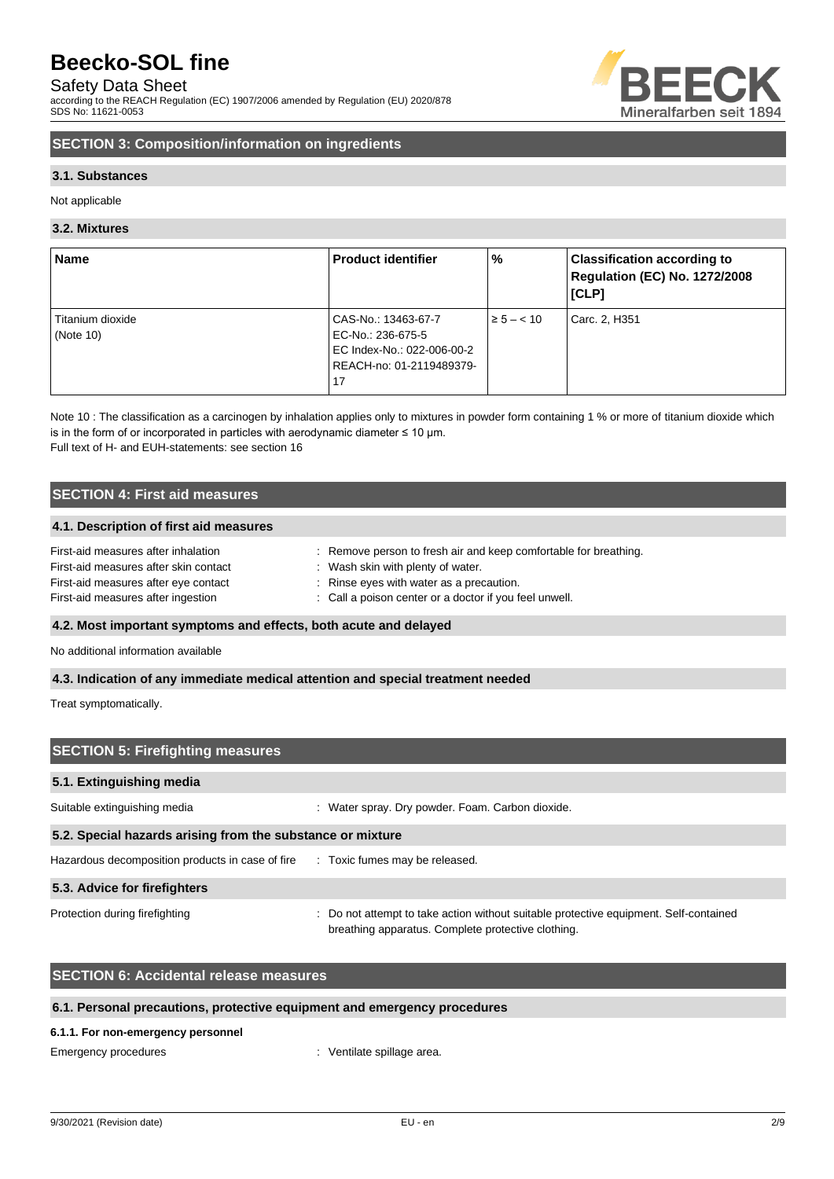# Safety Data Sheet

according to the REACH Regulation (EC) 1907/2006 amended by Regulation (EU) 2020/878 SDS No: 11621-0053



# **SECTION 3: Composition/information on ingredients**

# **3.1. Substances**

Not applicable

# **3.2. Mixtures**

| <b>Name</b>                      | <b>Product identifier</b>                              | $\%$           | <b>Classification according to</b><br><b>Regulation (EC) No. 1272/2008</b><br><b>[CLP]</b> |
|----------------------------------|--------------------------------------------------------|----------------|--------------------------------------------------------------------------------------------|
| Titanium dioxide<br>(Note $10$ ) | CAS-No.: 13463-67-7<br>EC-No.: 236-675-5               | $\ge 5 - < 10$ | Carc. 2, H351                                                                              |
|                                  | EC Index-No.: 022-006-00-2<br>REACH-no: 01-2119489379- |                |                                                                                            |
|                                  | 17                                                     |                |                                                                                            |

Note 10 : The classification as a carcinogen by inhalation applies only to mixtures in powder form containing 1 % or more of titanium dioxide which is in the form of or incorporated in particles with aerodynamic diameter  $\leq 10$  µm. Full text of H- and EUH-statements: see section 16

# **SECTION 4: First aid measures**

## **4.1. Description of first aid measures**

| First-aid measures after inhalation   | : Remove person to fresh air and keep comfortable for breathing. |
|---------------------------------------|------------------------------------------------------------------|
| First-aid measures after skin contact | : Wash skin with plenty of water.                                |
| First-aid measures after eye contact  | : Rinse eyes with water as a precaution.                         |
| First-aid measures after ingestion    | : Call a poison center or a doctor if you feel unwell.           |

# **4.2. Most important symptoms and effects, both acute and delayed**

No additional information available

## **4.3. Indication of any immediate medical attention and special treatment needed**

Treat symptomatically.

| <b>SECTION 5: Firefighting measures</b>                                       |                                                                                                                                             |  |  |  |
|-------------------------------------------------------------------------------|---------------------------------------------------------------------------------------------------------------------------------------------|--|--|--|
| 5.1. Extinguishing media                                                      |                                                                                                                                             |  |  |  |
| Suitable extinguishing media                                                  | Water spray. Dry powder. Foam. Carbon dioxide.                                                                                              |  |  |  |
| 5.2. Special hazards arising from the substance or mixture                    |                                                                                                                                             |  |  |  |
| Hazardous decomposition products in case of fire Toxic fumes may be released. |                                                                                                                                             |  |  |  |
| 5.3. Advice for firefighters                                                  |                                                                                                                                             |  |  |  |
| Protection during firefighting                                                | : Do not attempt to take action without suitable protective equipment. Self-contained<br>breathing apparatus. Complete protective clothing. |  |  |  |

# **SECTION 6: Accidental release measures**

# **6.1. Personal precautions, protective equipment and emergency procedures**

### **6.1.1. For non-emergency personnel**

Emergency procedures in the spillage area.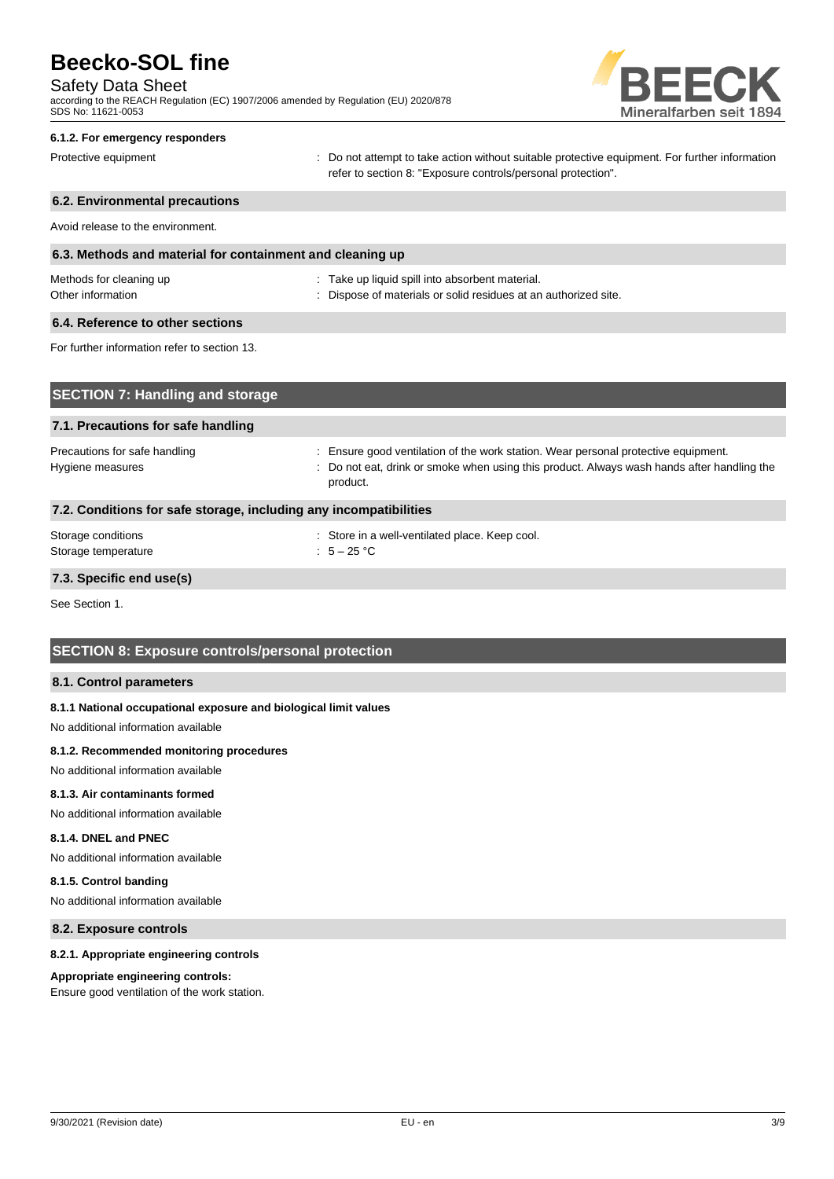# Safety Data Sheet

according to the REACH Regulation (EC) 1907/2006 amended by Regulation (EU) 2020/878 SDS No: 11621-0053



### **6.1.2. For emergency responders**

Protective equipment **interval of the CO** not attempt to take action without suitable protective equipment. For further information refer to section 8: "Exposure controls/personal protection".

# **6.2. Environmental precautions** Avoid release to the environment. **6.3. Methods and material for containment and cleaning up** Methods for cleaning up example and the state up liquid spill into absorbent material. Other information **Other information** : Dispose of materials or solid residues at an authorized site. **6.4. Reference to other sections** For further information refer to section 13.

| <b>SECTION 7: Handling and storage</b>                            |                                                                                                                                                                                              |
|-------------------------------------------------------------------|----------------------------------------------------------------------------------------------------------------------------------------------------------------------------------------------|
| 7.1. Precautions for safe handling                                |                                                                                                                                                                                              |
| Precautions for safe handling<br>Hygiene measures                 | : Ensure good ventilation of the work station. Wear personal protective equipment.<br>: Do not eat, drink or smoke when using this product. Always wash hands after handling the<br>product. |
| 7.2. Conditions for safe storage, including any incompatibilities |                                                                                                                                                                                              |
| Storage conditions<br>Storage temperature                         | : Store in a well-ventilated place. Keep cool.<br>: $5-25$ °C                                                                                                                                |

# **7.3. Specific end use(s)**

See Section 1.

# **SECTION 8: Exposure controls/personal protection**

## **8.1. Control parameters**

### **8.1.1 National occupational exposure and biological limit values**

No additional information available

### **8.1.2. Recommended monitoring procedures**

No additional information available

### **8.1.3. Air contaminants formed**

No additional information available

# **8.1.4. DNEL and PNEC**

No additional information available

## **8.1.5. Control banding**

No additional information available

# **8.2. Exposure controls**

### **8.2.1. Appropriate engineering controls**

### **Appropriate engineering controls:**

Ensure good ventilation of the work station.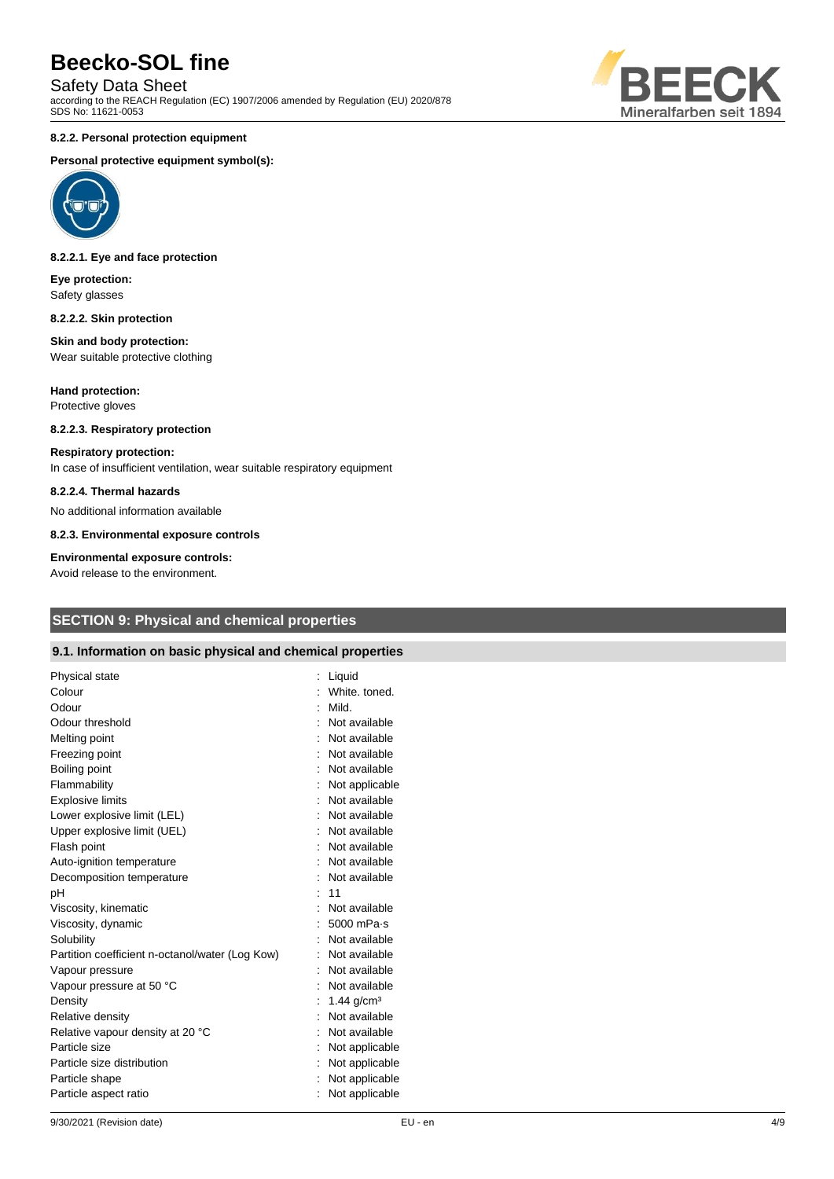Safety Data Sheet

according to the REACH Regulation (EC) 1907/2006 amended by Regulation (EU) 2020/878 SDS No: 11621-0053

# BEE CK Mineralfarben seit 1894

# **8.2.2. Personal protection equipment**

# **Personal protective equipment symbol(s):**



### **8.2.2.1. Eye and face protection**

**Eye protection:** Safety glasses

### **8.2.2.2. Skin protection**

### **Skin and body protection:** Wear suitable protective clothing

**Hand protection:** Protective gloves

# **8.2.2.3. Respiratory protection**

**Respiratory protection:** In case of insufficient ventilation, wear suitable respiratory equipment

### **8.2.2.4. Thermal hazards**

No additional information available

**8.2.3. Environmental exposure controls**

### **Environmental exposure controls:**

Avoid release to the environment.

# **SECTION 9: Physical and chemical properties**

# **9.1. Information on basic physical and chemical properties**

| Physical state<br>Colour<br>Odour<br>Odour threshold<br>Melting point<br>Freezing point | Liquid<br>White, toned.<br>Mild.<br>Not available<br>Not available<br>Not available |
|-----------------------------------------------------------------------------------------|-------------------------------------------------------------------------------------|
| Boiling point                                                                           | Not available                                                                       |
| Flammability                                                                            | Not applicable                                                                      |
| <b>Explosive limits</b>                                                                 | Not available                                                                       |
| Lower explosive limit (LEL)                                                             | : Not available                                                                     |
| Upper explosive limit (UEL)                                                             | Not available                                                                       |
| Flash point                                                                             | Not available                                                                       |
| Auto-ignition temperature                                                               | Not available                                                                       |
| Decomposition temperature                                                               | Not available                                                                       |
| рH                                                                                      | 11                                                                                  |
| Viscosity, kinematic                                                                    | Not available                                                                       |
| Viscosity, dynamic                                                                      | 5000 mPa-s                                                                          |
| Solubility                                                                              | Not available                                                                       |
| Partition coefficient n-octanol/water (Log Kow)                                         | Not available                                                                       |
| Vapour pressure                                                                         | Not available                                                                       |
| Vapour pressure at 50 °C                                                                | Not available                                                                       |
| Density                                                                                 | 1.44 $g/cm3$                                                                        |
| Relative density                                                                        | Not available                                                                       |
| Relative vapour density at 20 °C                                                        | Not available                                                                       |
| Particle size                                                                           | Not applicable                                                                      |
| Particle size distribution                                                              | Not applicable                                                                      |
| Particle shape                                                                          | Not applicable                                                                      |
| Particle aspect ratio                                                                   | Not applicable                                                                      |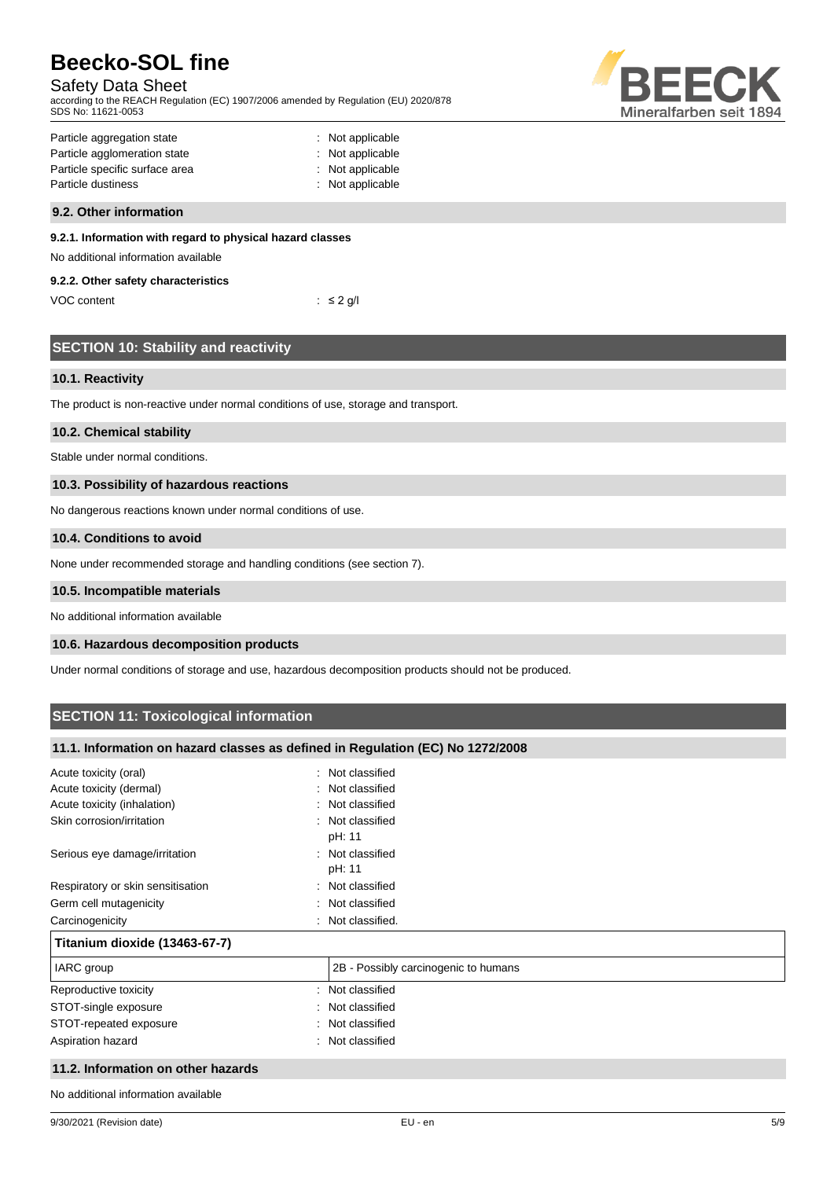# Safety Data Sheet

according to the REACH Regulation (EC) 1907/2006 amended by Regulation (EU) 2020/878 SDS No: 11621-0053



| Particle aggregation state     | : Not applicable |
|--------------------------------|------------------|
| Particle agglomeration state   | : Not applicable |
| Particle specific surface area | : Not applicable |
| Particle dustiness             | : Not applicable |
|                                |                  |

## **9.2. Other information**

# **9.2.1. Information with regard to physical hazard classes**

No additional information available

## **9.2.2. Other safety characteristics**

VOC content  $\qquad \qquad : \leq 2 \text{ g/l}$ 

| <b>SECTION 10: Stability and reactivity</b> |  |  |
|---------------------------------------------|--|--|
|                                             |  |  |
|                                             |  |  |

# **10.1. Reactivity**

The product is non-reactive under normal conditions of use, storage and transport.

## **10.2. Chemical stability**

Stable under normal conditions.

## **10.3. Possibility of hazardous reactions**

No dangerous reactions known under normal conditions of use.

### **10.4. Conditions to avoid**

None under recommended storage and handling conditions (see section 7).

# **10.5. Incompatible materials**

No additional information available

## **10.6. Hazardous decomposition products**

Under normal conditions of storage and use, hazardous decomposition products should not be produced.

# **SECTION 11: Toxicological information**

# **11.1. Information on hazard classes as defined in Regulation (EC) No 1272/2008**

| Acute toxicity (oral)              | Not classified<br>$\bullet$          |
|------------------------------------|--------------------------------------|
| Acute toxicity (dermal)            | : Not classified                     |
| Acute toxicity (inhalation)        | : Not classified                     |
| Skin corrosion/irritation          | : Not classified<br>pH: 11           |
| Serious eye damage/irritation      | : Not classified<br>pH: 11           |
| Respiratory or skin sensitisation  | : Not classified                     |
| Germ cell mutagenicity             | Not classified                       |
| Carcinogenicity                    | Not classified.                      |
| Titanium dioxide (13463-67-7)      |                                      |
| IARC group                         | 2B - Possibly carcinogenic to humans |
| Reproductive toxicity              | : Not classified                     |
| STOT-single exposure               | : Not classified                     |
| STOT-repeated exposure             | : Not classified                     |
| Aspiration hazard                  | Not classified<br>٠.                 |
| 11.2. Information on other hazards |                                      |

No additional information available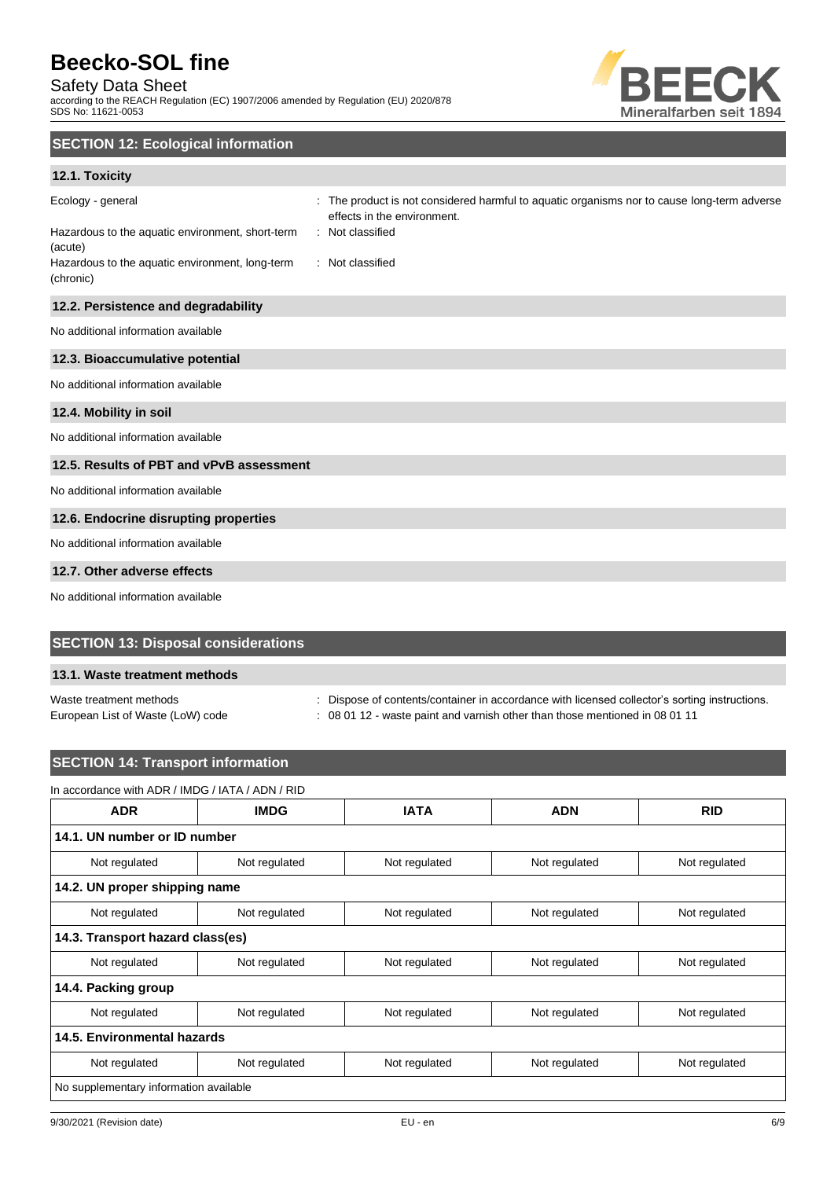# Safety Data Sheet

according to the REACH Regulation (EC) 1907/2006 amended by Regulation (EU) 2020/878 SDS No: 11621-0053



# **SECTION 12: Ecological information**

# **12.1. Toxicity**

| Ecology - general<br>Hazardous to the aquatic environment, short-term<br>(acute)<br>Hazardous to the aquatic environment, long-term<br>(chronic) | : The product is not considered harmful to aquatic organisms nor to cause long-term adverse<br>effects in the environment.<br>: Not classified<br>: Not classified |
|--------------------------------------------------------------------------------------------------------------------------------------------------|--------------------------------------------------------------------------------------------------------------------------------------------------------------------|
| 12.2. Persistence and degradability                                                                                                              |                                                                                                                                                                    |
| No additional information available                                                                                                              |                                                                                                                                                                    |
| 12.3. Bioaccumulative potential                                                                                                                  |                                                                                                                                                                    |
| No additional information available                                                                                                              |                                                                                                                                                                    |
| 12.4. Mobility in soil                                                                                                                           |                                                                                                                                                                    |
| No additional information available                                                                                                              |                                                                                                                                                                    |
| 12.5. Results of PBT and vPvB assessment                                                                                                         |                                                                                                                                                                    |
| No additional information available                                                                                                              |                                                                                                                                                                    |
| 12.6. Endocrine disrupting properties                                                                                                            |                                                                                                                                                                    |
| No additional information available                                                                                                              |                                                                                                                                                                    |
| 12.7. Other adverse effects                                                                                                                      |                                                                                                                                                                    |
| No additional information available                                                                                                              |                                                                                                                                                                    |

# **SECTION 13: Disposal considerations**

## **13.1. Waste treatment methods**

Waste treatment methods : Dispose of contents/container in accordance with licensed collector's sorting instructions.

European List of Waste (LoW) code : 08 01 12 - waste paint and varnish other than those mentioned in 08 01 11

# **SECTION 14: Transport information**

# In accordance with ADR / IMDG / IATA / ADN / RID

| <b>ADR</b>                             | <b>IMDG</b>   | <b>IATA</b>   | <b>ADN</b>    | <b>RID</b>    |  |  |
|----------------------------------------|---------------|---------------|---------------|---------------|--|--|
| 14.1. UN number or ID number           |               |               |               |               |  |  |
| Not regulated                          | Not regulated | Not regulated | Not regulated | Not regulated |  |  |
| 14.2. UN proper shipping name          |               |               |               |               |  |  |
| Not regulated                          | Not regulated | Not regulated | Not regulated | Not regulated |  |  |
| 14.3. Transport hazard class(es)       |               |               |               |               |  |  |
| Not regulated                          | Not regulated | Not regulated | Not regulated | Not regulated |  |  |
| 14.4. Packing group                    |               |               |               |               |  |  |
| Not regulated                          | Not regulated | Not regulated | Not regulated | Not regulated |  |  |
| 14.5. Environmental hazards            |               |               |               |               |  |  |
| Not regulated                          | Not regulated | Not regulated | Not regulated | Not regulated |  |  |
| No supplementary information available |               |               |               |               |  |  |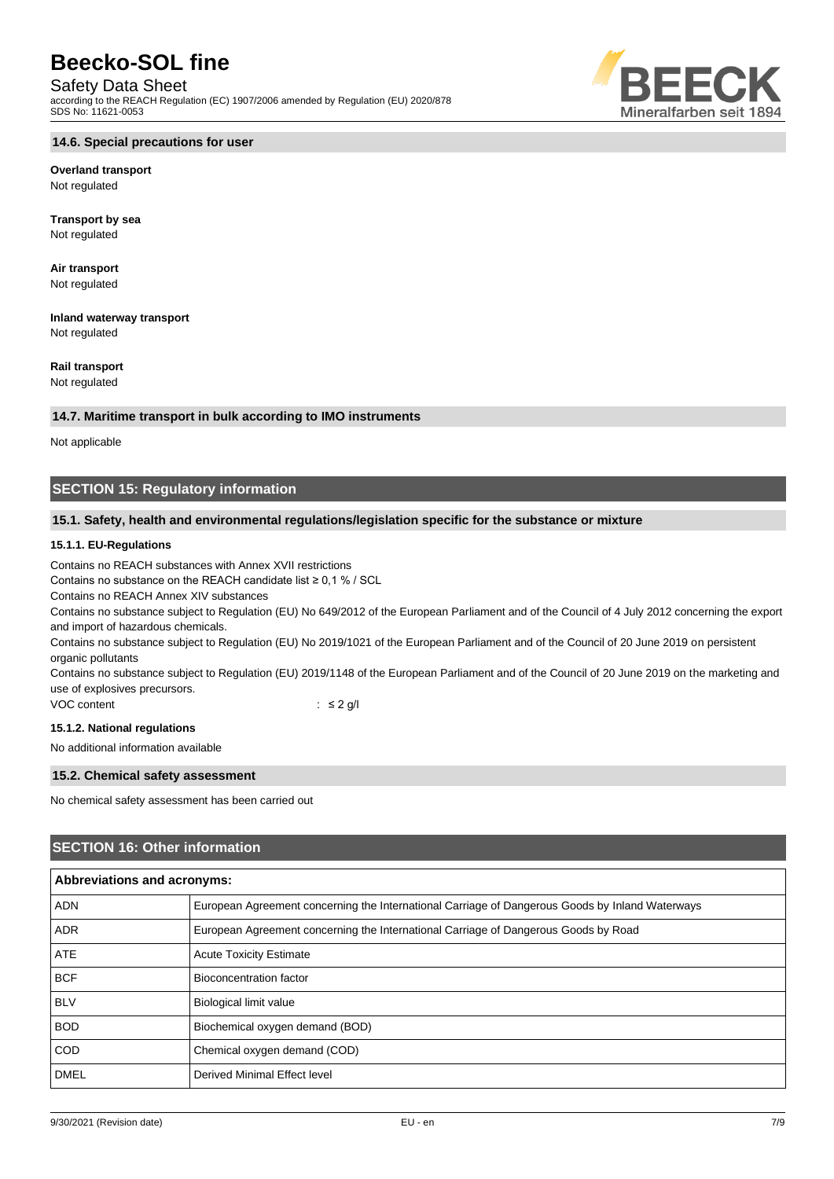# Safety Data Sheet

according to the REACH Regulation (EC) 1907/2006 amended by Regulation (EU) 2020/878 SDS No: 11621-0053



**Overland transport** Not regulated

**Transport by sea** Not regulated

**Air transport** Not regulated

**Inland waterway transport** Not regulated

**Rail transport**

Not regulated

## **14.7. Maritime transport in bulk according to IMO instruments**

Not applicable

# **SECTION 15: Regulatory information**

# **15.1. Safety, health and environmental regulations/legislation specific for the substance or mixture**

## **15.1.1. EU-Regulations**

Contains no REACH substances with Annex XVII restrictions

Contains no substance on the REACH candidate list ≥ 0,1 % / SCL

Contains no REACH Annex XIV substances

Contains no substance subject to Regulation (EU) No 649/2012 of the European Parliament and of the Council of 4 July 2012 concerning the export and import of hazardous chemicals.

Contains no substance subject to Regulation (EU) No 2019/1021 of the European Parliament and of the Council of 20 June 2019 on persistent organic pollutants

Contains no substance subject to Regulation (EU) 2019/1148 of the European Parliament and of the Council of 20 June 2019 on the marketing and use of explosives precursors.

VOC content : ≤ 2 g/l

## **15.1.2. National regulations**

No additional information available

## **15.2. Chemical safety assessment**

No chemical safety assessment has been carried out

# **SECTION 16: Other information**

| <b>Abbreviations and acronyms:</b> |                                                                                                 |  |
|------------------------------------|-------------------------------------------------------------------------------------------------|--|
| <b>ADN</b>                         | European Agreement concerning the International Carriage of Dangerous Goods by Inland Waterways |  |
| <b>ADR</b>                         | European Agreement concerning the International Carriage of Dangerous Goods by Road             |  |
| <b>ATE</b>                         | <b>Acute Toxicity Estimate</b>                                                                  |  |
| <b>BCF</b>                         | Bioconcentration factor                                                                         |  |
| <b>BLV</b>                         | <b>Biological limit value</b>                                                                   |  |
| <b>BOD</b>                         | Biochemical oxygen demand (BOD)                                                                 |  |
| <b>COD</b>                         | Chemical oxygen demand (COD)                                                                    |  |
| <b>DMEL</b>                        | Derived Minimal Effect level                                                                    |  |

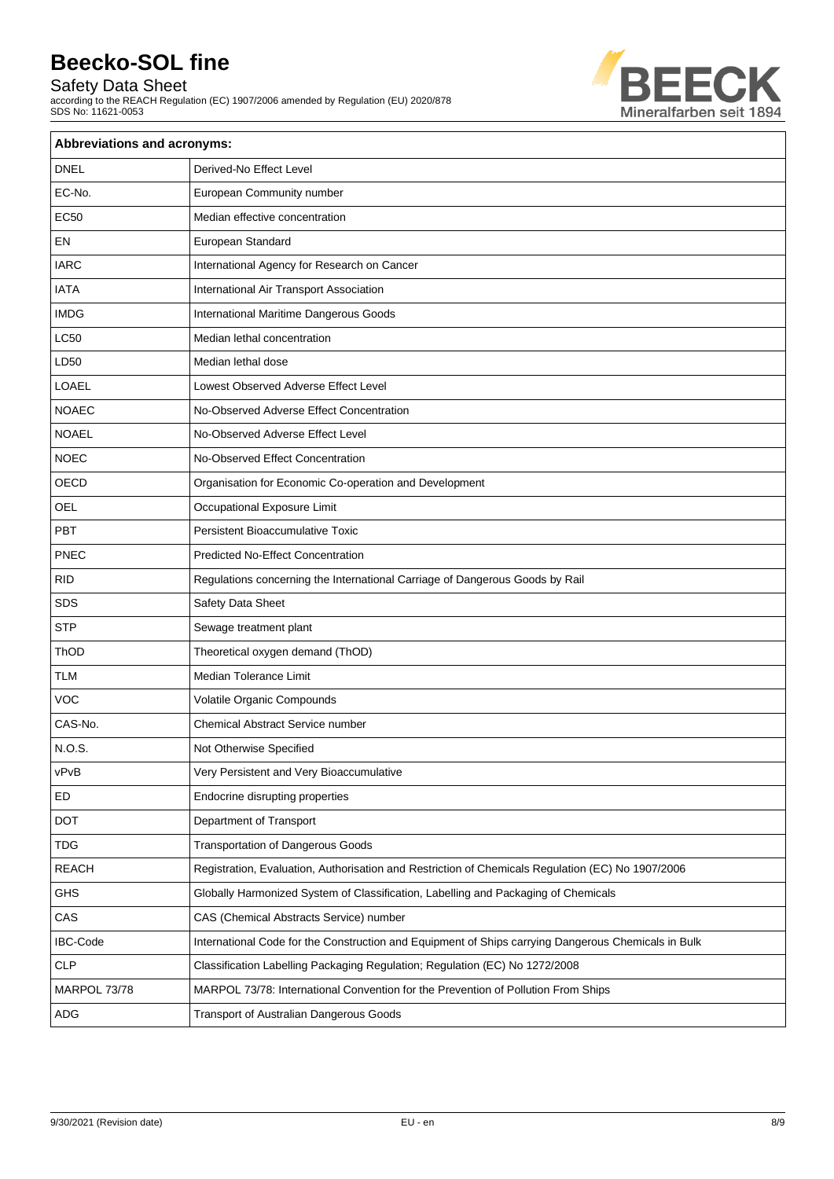Safety Data Sheet

according to the REACH Regulation (EC) 1907/2006 amended by Regulation (EU) 2020/878 SDS No: 11621-0053



| Abbreviations and acronyms: |                                                                                                     |  |
|-----------------------------|-----------------------------------------------------------------------------------------------------|--|
| <b>DNEL</b>                 | Derived-No Effect Level                                                                             |  |
| EC-No.                      | European Community number                                                                           |  |
| <b>EC50</b>                 | Median effective concentration                                                                      |  |
| EN                          | European Standard                                                                                   |  |
| <b>IARC</b>                 | International Agency for Research on Cancer                                                         |  |
| <b>IATA</b>                 | International Air Transport Association                                                             |  |
| <b>IMDG</b>                 | International Maritime Dangerous Goods                                                              |  |
| <b>LC50</b>                 | Median lethal concentration                                                                         |  |
| LD50                        | Median lethal dose                                                                                  |  |
| LOAEL                       | Lowest Observed Adverse Effect Level                                                                |  |
| <b>NOAEC</b>                | No-Observed Adverse Effect Concentration                                                            |  |
| <b>NOAEL</b>                | No-Observed Adverse Effect Level                                                                    |  |
| <b>NOEC</b>                 | No-Observed Effect Concentration                                                                    |  |
| OECD                        | Organisation for Economic Co-operation and Development                                              |  |
| <b>OEL</b>                  | Occupational Exposure Limit                                                                         |  |
| PBT                         | <b>Persistent Bioaccumulative Toxic</b>                                                             |  |
| PNEC                        | <b>Predicted No-Effect Concentration</b>                                                            |  |
| <b>RID</b>                  | Regulations concerning the International Carriage of Dangerous Goods by Rail                        |  |
| <b>SDS</b>                  | Safety Data Sheet                                                                                   |  |
| <b>STP</b>                  | Sewage treatment plant                                                                              |  |
| ThOD                        | Theoretical oxygen demand (ThOD)                                                                    |  |
| <b>TLM</b>                  | <b>Median Tolerance Limit</b>                                                                       |  |
| <b>VOC</b>                  | Volatile Organic Compounds                                                                          |  |
| CAS-No.                     | Chemical Abstract Service number                                                                    |  |
| N.O.S.                      | Not Otherwise Specified                                                                             |  |
| vPvB                        | Very Persistent and Very Bioaccumulative                                                            |  |
| ED                          | Endocrine disrupting properties                                                                     |  |
| <b>DOT</b>                  | Department of Transport                                                                             |  |
| <b>TDG</b>                  | <b>Transportation of Dangerous Goods</b>                                                            |  |
| <b>REACH</b>                | Registration, Evaluation, Authorisation and Restriction of Chemicals Regulation (EC) No 1907/2006   |  |
| GHS                         | Globally Harmonized System of Classification, Labelling and Packaging of Chemicals                  |  |
| CAS                         | CAS (Chemical Abstracts Service) number                                                             |  |
| IBC-Code                    | International Code for the Construction and Equipment of Ships carrying Dangerous Chemicals in Bulk |  |
| <b>CLP</b>                  | Classification Labelling Packaging Regulation; Regulation (EC) No 1272/2008                         |  |
| MARPOL 73/78                | MARPOL 73/78: International Convention for the Prevention of Pollution From Ships                   |  |
| ADG                         | Transport of Australian Dangerous Goods                                                             |  |